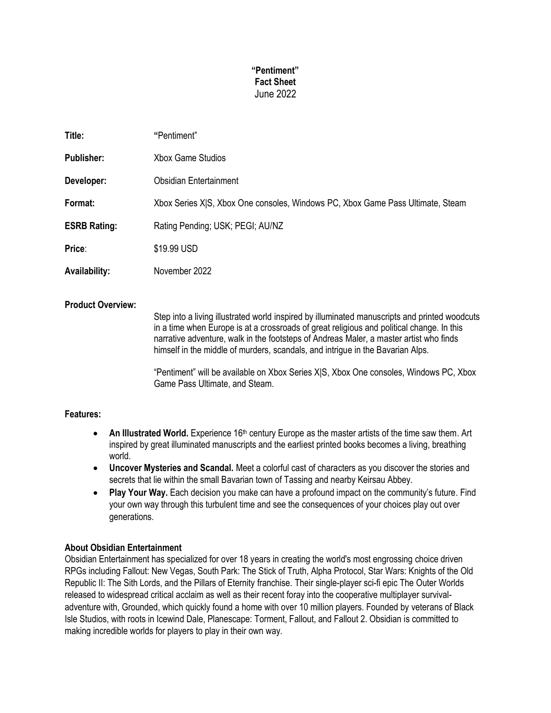# **"Pentiment" Fact Sheet** June 2022

| Title:               | "Pentiment"                                                                    |
|----------------------|--------------------------------------------------------------------------------|
| <b>Publisher:</b>    | Xbox Game Studios                                                              |
| Developer:           | <b>Obsidian Entertainment</b>                                                  |
| Format:              | Xbox Series XJS, Xbox One consoles, Windows PC, Xbox Game Pass Ultimate, Steam |
| <b>ESRB Rating:</b>  | Rating Pending; USK; PEGI; AU/NZ                                               |
| Price:               | \$19.99 USD                                                                    |
| <b>Availability:</b> | November 2022                                                                  |
|                      |                                                                                |

## **Product Overview:**

Step into a living illustrated world inspired by illuminated manuscripts and printed woodcuts in a time when Europe is at a crossroads of great religious and political change. In this narrative adventure, walk in the footsteps of Andreas Maler, a master artist who finds himself in the middle of murders, scandals, and intrigue in the Bavarian Alps.

"Pentiment" will be available on Xbox Series X|S, Xbox One consoles, Windows PC, Xbox Game Pass Ultimate, and Steam.

### **Features:**

- An Illustrated World. Experience 16<sup>th</sup> century Europe as the master artists of the time saw them. Art inspired by great illuminated manuscripts and the earliest printed books becomes a living, breathing world.
- **Uncover Mysteries and Scandal.** Meet a colorful cast of characters as you discover the stories and secrets that lie within the small Bavarian town of Tassing and nearby Keirsau Abbey.
- **Play Your Way.** Each decision you make can have a profound impact on the community's future. Find your own way through this turbulent time and see the consequences of your choices play out over generations.

### **About Obsidian Entertainment**

Obsidian Entertainment has specialized for over 18 years in creating the world's most engrossing choice driven RPGs including Fallout: New Vegas, South Park: The Stick of Truth, Alpha Protocol, Star Wars: Knights of the Old Republic II: The Sith Lords, and the Pillars of Eternity franchise. Their single-player sci-fi epic The Outer Worlds released to widespread critical acclaim as well as their recent foray into the cooperative multiplayer survivaladventure with, Grounded, which quickly found a home with over 10 million players. Founded by veterans of Black Isle Studios, with roots in Icewind Dale, Planescape: Torment, Fallout, and Fallout 2. Obsidian is committed to making incredible worlds for players to play in their own way.